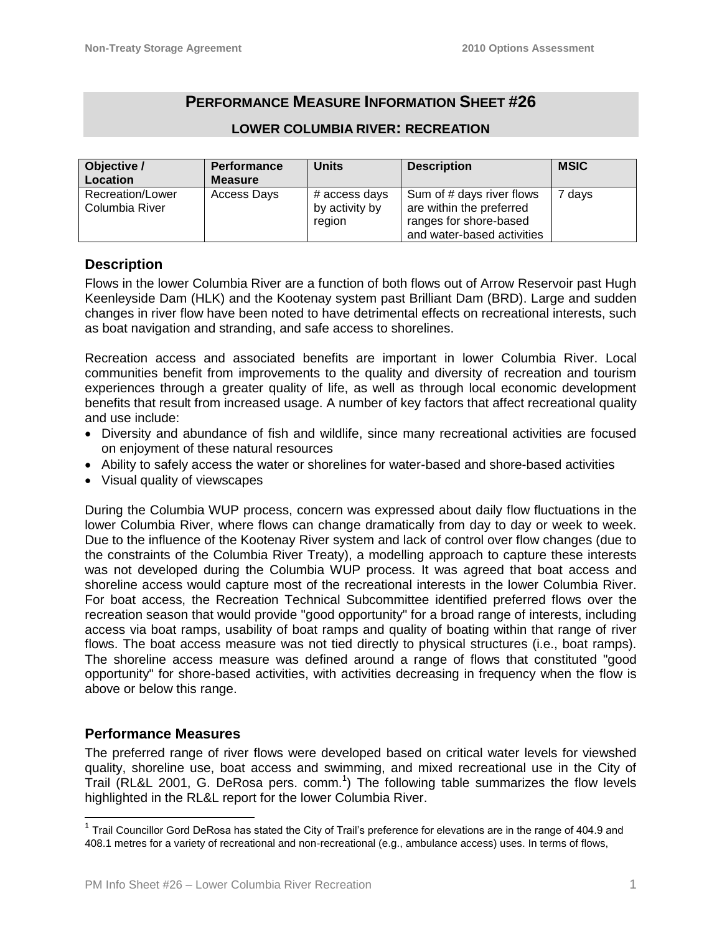# **PERFORMANCE MEASURE INFORMATION SHEET #26**

| Objective /<br>Location            | <b>Performance</b><br>Measure | <b>Units</b>                              | <b>Description</b>                                                                                            | <b>MSIC</b> |
|------------------------------------|-------------------------------|-------------------------------------------|---------------------------------------------------------------------------------------------------------------|-------------|
| Recreation/Lower<br>Columbia River | Access Days                   | # access days<br>by activity by<br>region | Sum of # days river flows<br>are within the preferred<br>ranges for shore-based<br>and water-based activities | 7 days      |

### **LOWER COLUMBIA RIVER: RECREATION**

## **Description**

Flows in the lower Columbia River are a function of both flows out of Arrow Reservoir past Hugh Keenleyside Dam (HLK) and the Kootenay system past Brilliant Dam (BRD). Large and sudden changes in river flow have been noted to have detrimental effects on recreational interests, such as boat navigation and stranding, and safe access to shorelines.

Recreation access and associated benefits are important in lower Columbia River. Local communities benefit from improvements to the quality and diversity of recreation and tourism experiences through a greater quality of life, as well as through local economic development benefits that result from increased usage. A number of key factors that affect recreational quality and use include:

- Diversity and abundance of fish and wildlife, since many recreational activities are focused on enjoyment of these natural resources
- Ability to safely access the water or shorelines for water-based and shore-based activities
- Visual quality of viewscapes

During the Columbia WUP process, concern was expressed about daily flow fluctuations in the lower Columbia River, where flows can change dramatically from day to day or week to week. Due to the influence of the Kootenay River system and lack of control over flow changes (due to the constraints of the Columbia River Treaty), a modelling approach to capture these interests was not developed during the Columbia WUP process. It was agreed that boat access and shoreline access would capture most of the recreational interests in the lower Columbia River. For boat access, the Recreation Technical Subcommittee identified preferred flows over the recreation season that would provide "good opportunity" for a broad range of interests, including access via boat ramps, usability of boat ramps and quality of boating within that range of river flows. The boat access measure was not tied directly to physical structures (i.e., boat ramps). The shoreline access measure was defined around a range of flows that constituted "good opportunity" for shore-based activities, with activities decreasing in frequency when the flow is above or below this range.

## **Performance Measures**

The preferred range of river flows were developed based on critical water levels for viewshed quality, shoreline use, boat access and swimming, and mixed recreational use in the City of Trail (RL&L 2001, G. DeRosa pers. comm.<sup>1</sup>) The following table summarizes the flow levels highlighted in the RL&L report for the lower Columbia River.

<sup>————————————————————&</sup>lt;br><sup>1</sup> Trail Councillor Gord DeRosa has stated the City of Trail's preference for elevations are in the range of 404.9 and 408.1 metres for a variety of recreational and non-recreational (e.g., ambulance access) uses. In terms of flows,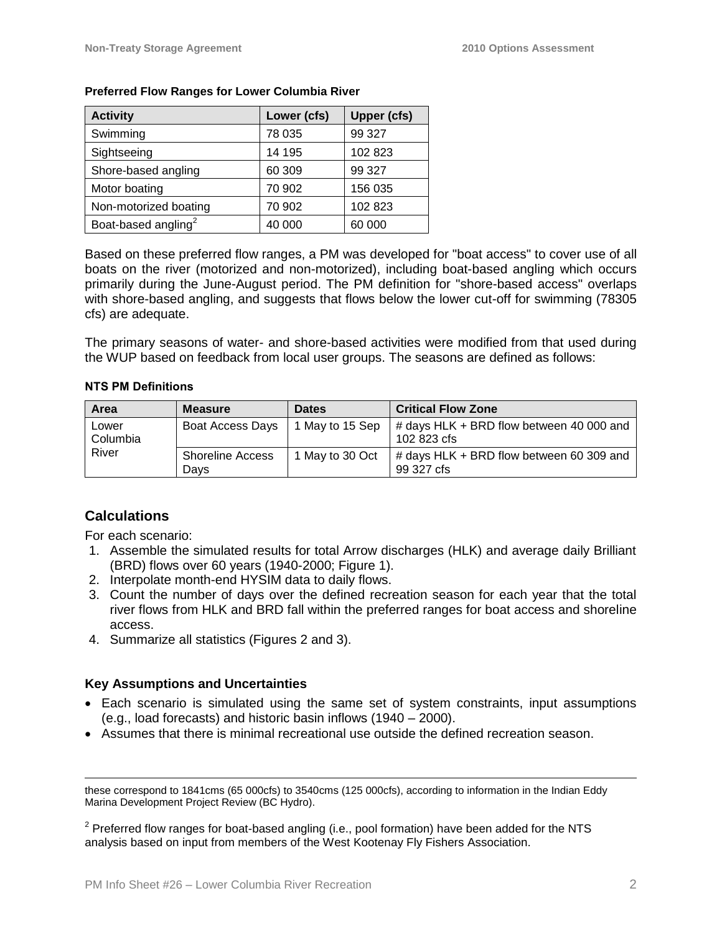| <b>Activity</b>                 | Lower (cfs) | <b>Upper (cfs)</b> |
|---------------------------------|-------------|--------------------|
| Swimming                        | 78 035      | 99 327             |
| Sightseeing                     | 14 195      | 102 823            |
| Shore-based angling             | 60 309      | 99 327             |
| Motor boating                   | 70 902      | 156 035            |
| Non-motorized boating           | 70 902      | 102 823            |
| Boat-based angling <sup>2</sup> | 40 000      | 60 000             |

#### **Preferred Flow Ranges for Lower Columbia River**

Based on these preferred flow ranges, a PM was developed for "boat access" to cover use of all boats on the river (motorized and non-motorized), including boat-based angling which occurs primarily during the June-August period. The PM definition for "shore-based access" overlaps with shore-based angling, and suggests that flows below the lower cut-off for swimming (78305 cfs) are adequate.

The primary seasons of water- and shore-based activities were modified from that used during the WUP based on feedback from local user groups. The seasons are defined as follows:

#### **NTS PM Definitions**

| Area                       | <b>Measure</b>                  | <b>Dates</b>    | <b>Critical Flow Zone</b>                                  |
|----------------------------|---------------------------------|-----------------|------------------------------------------------------------|
| Lower<br>Columbia<br>River | Boat Access Days                | 1 May to 15 Sep | $\#$ days HLK + BRD flow between 40 000 and<br>102 823 cfs |
|                            | <b>Shoreline Access</b><br>Davs | 1 May to 30 Oct | $\#$ days HLK + BRD flow between 60 309 and<br>99 327 cfs  |

## **Calculations**

 $\overline{a}$ 

For each scenario:

- 1. Assemble the simulated results for total Arrow discharges (HLK) and average daily Brilliant (BRD) flows over 60 years (1940-2000; Figure 1).
- 2. Interpolate month-end HYSIM data to daily flows.
- 3. Count the number of days over the defined recreation season for each year that the total river flows from HLK and BRD fall within the preferred ranges for boat access and shoreline access.
- 4. Summarize all statistics (Figures 2 and 3).

## **Key Assumptions and Uncertainties**

- Each scenario is simulated using the same set of system constraints, input assumptions (e.g., load forecasts) and historic basin inflows (1940 – 2000).
- Assumes that there is minimal recreational use outside the defined recreation season.

these correspond to 1841cms (65 000cfs) to 3540cms (125 000cfs), according to information in the Indian Eddy Marina Development Project Review (BC Hydro).

 $2$  Preferred flow ranges for boat-based angling (i.e., pool formation) have been added for the NTS analysis based on input from members of the West Kootenay Fly Fishers Association.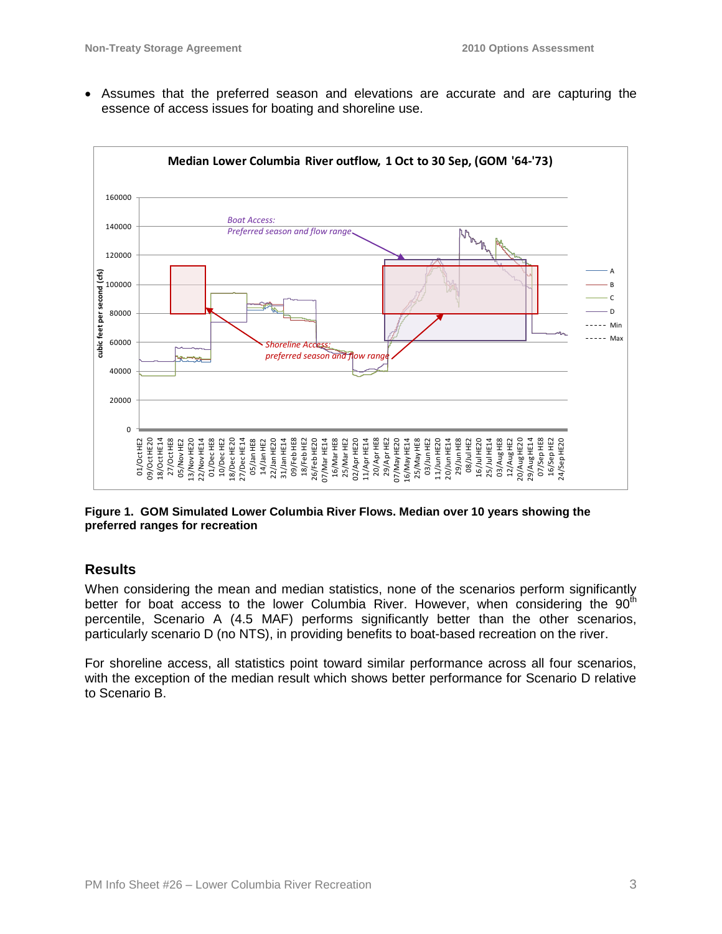Assumes that the preferred season and elevations are accurate and are capturing the essence of access issues for boating and shoreline use.



**Figure 1. GOM Simulated Lower Columbia River Flows. Median over 10 years showing the preferred ranges for recreation**

## **Results**

When considering the mean and median statistics, none of the scenarios perform significantly better for boat access to the lower Columbia River. However, when considering the  $90<sup>th</sup>$ percentile, Scenario A (4.5 MAF) performs significantly better than the other scenarios, particularly scenario D (no NTS), in providing benefits to boat-based recreation on the river.

For shoreline access, all statistics point toward similar performance across all four scenarios, with the exception of the median result which shows better performance for Scenario D relative to Scenario B.